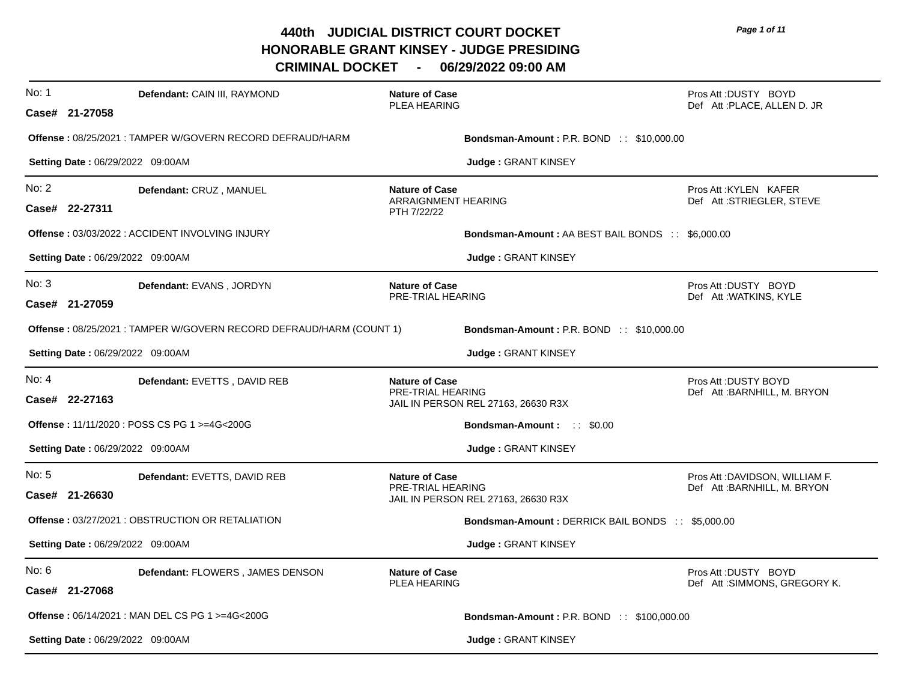**CRIMINAL DOCKET - 06/29/2022 09:00 AM**

| No: 1 | Defendant: CAIN III, RAYMOND<br>Case# 21-27058                                                      | <b>Nature of Case</b><br>PLEA HEARING                       |                                                                        | Pros Att: DUSTY BOYD<br>Def Att: PLACE, ALLEN D. JR             |
|-------|-----------------------------------------------------------------------------------------------------|-------------------------------------------------------------|------------------------------------------------------------------------|-----------------------------------------------------------------|
|       | <b>Offense: 08/25/2021: TAMPER W/GOVERN RECORD DEFRAUD/HARM</b><br>Setting Date: 06/29/2022 09:00AM |                                                             | <b>Bondsman-Amount: P.R. BOND:: \$10,000.00</b><br>Judge: GRANT KINSEY |                                                                 |
| No: 2 | Defendant: CRUZ, MANUEL<br>Case# 22-27311                                                           | <b>Nature of Case</b><br>ARRAIGNMENT HEARING<br>PTH 7/22/22 |                                                                        | Pros Att : KYLEN KAFER<br>Def Att:STRIEGLER, STEVE              |
|       | <b>Offense: 03/03/2022: ACCIDENT INVOLVING INJURY</b>                                               |                                                             | <b>Bondsman-Amount: AA BEST BAIL BONDS :: \$6,000.00</b>               |                                                                 |
|       | Setting Date: 06/29/2022 09:00AM                                                                    |                                                             | <b>Judge: GRANT KINSEY</b>                                             |                                                                 |
| No: 3 | Defendant: EVANS, JORDYN<br>Case# 21-27059                                                          | <b>Nature of Case</b><br>PRE-TRIAL HEARING                  |                                                                        | Pros Att: DUSTY BOYD<br>Def Att: WATKINS, KYLE                  |
|       | Offense : 08/25/2021 : TAMPER W/GOVERN RECORD DEFRAUD/HARM (COUNT 1)                                |                                                             | <b>Bondsman-Amount: P.R. BOND:: \$10,000.00</b>                        |                                                                 |
|       | Setting Date: 06/29/2022 09:00AM                                                                    |                                                             | Judge: GRANT KINSEY                                                    |                                                                 |
| No: 4 | Defendant: EVETTS, DAVID REB<br>Case# 22-27163                                                      | <b>Nature of Case</b><br>PRE-TRIAL HEARING                  | JAIL IN PERSON REL 27163, 26630 R3X                                    | Pros Att: DUSTY BOYD<br>Def Att:BARNHILL, M. BRYON              |
|       | Offense: 11/11/2020 : POSS CS PG 1 >=4G<200G                                                        |                                                             | <b>Bondsman-Amount:</b> :: \$0.00                                      |                                                                 |
|       | Setting Date: 06/29/2022 09:00AM                                                                    |                                                             | Judge: GRANT KINSEY                                                    |                                                                 |
| No: 5 | Defendant: EVETTS, DAVID REB<br>Case# 21-26630                                                      | <b>Nature of Case</b><br>PRE-TRIAL HEARING                  | JAIL IN PERSON REL 27163, 26630 R3X                                    | Pros Att : DAVIDSON, WILLIAM F.<br>Def Att : BARNHILL, M. BRYON |
|       | Offense: 03/27/2021 : OBSTRUCTION OR RETALIATION                                                    |                                                             | Bondsman-Amount: DERRICK BAIL BONDS :: \$5,000.00                      |                                                                 |
|       | <b>Setting Date: 06/29/2022 09:00AM</b>                                                             |                                                             | Judge: GRANT KINSEY                                                    |                                                                 |
| No: 6 | Defendant: FLOWERS, JAMES DENSON<br>Case# 21-27068                                                  | <b>Nature of Case</b><br>PLEA HEARING                       |                                                                        | Pros Att: DUSTY BOYD<br>Def Att: SIMMONS, GREGORY K.            |
|       | <b>Offense: 06/14/2021: MAN DEL CS PG 1 &gt;=4G&lt;200G</b>                                         |                                                             | <b>Bondsman-Amount: P.R. BOND :: \$100,000.00</b>                      |                                                                 |
|       | Setting Date: 06/29/2022 09:00AM                                                                    |                                                             | <b>Judge: GRANT KINSEY</b>                                             |                                                                 |

*Page 1 of 11*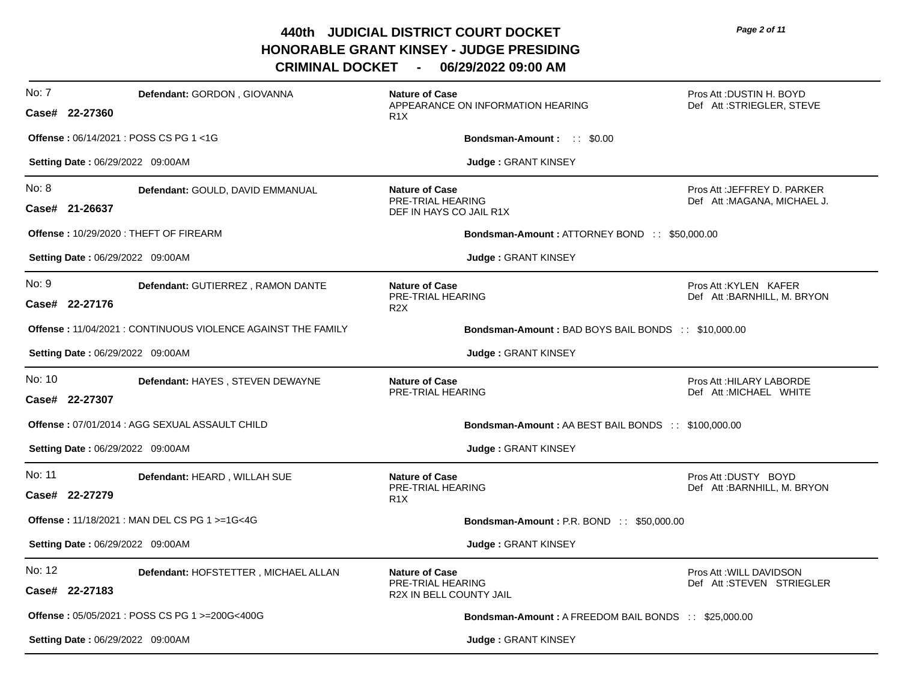| No: 7  | Defendant: GORDON, GIOVANNA<br>Case# 22-27360                | <b>Nature of Case</b><br>APPEARANCE ON INFORMATION HEARING<br>R <sub>1</sub> X | Pros Att: DUSTIN H. BOYD<br>Def Att:STRIEGLER, STEVE        |
|--------|--------------------------------------------------------------|--------------------------------------------------------------------------------|-------------------------------------------------------------|
|        | <b>Offense: 06/14/2021: POSS CS PG 1&lt;1G</b>               | Bondsman-Amount: :: \$0.00                                                     |                                                             |
|        | Setting Date: 06/29/2022 09:00AM                             | Judge: GRANT KINSEY                                                            |                                                             |
| No: 8  | Defendant: GOULD, DAVID EMMANUAL<br>Case# 21-26637           | <b>Nature of Case</b><br>PRE-TRIAL HEARING<br>DEF IN HAYS CO JAIL R1X          | Pros Att : JEFFREY D. PARKER<br>Def Att: MAGANA, MICHAEL J. |
|        | Offense: 10/29/2020: THEFT OF FIREARM                        | <b>Bondsman-Amount: ATTORNEY BOND :: \$50,000.00</b>                           |                                                             |
|        | <b>Setting Date: 06/29/2022 09:00AM</b>                      | <b>Judge: GRANT KINSEY</b>                                                     |                                                             |
| No: 9  | Defendant: GUTIERREZ, RAMON DANTE<br>Case# 22-27176          | <b>Nature of Case</b><br>PRE-TRIAL HEARING<br>R <sub>2</sub> X                 | Pros Att: KYLEN KAFER<br>Def Att: BARNHILL, M. BRYON        |
|        | Offense: 11/04/2021 : CONTINUOUS VIOLENCE AGAINST THE FAMILY | <b>Bondsman-Amount: BAD BOYS BAIL BONDS :: \$10,000.00</b>                     |                                                             |
|        | Setting Date: 06/29/2022 09:00AM                             | <b>Judge: GRANT KINSEY</b>                                                     |                                                             |
| No: 10 | Defendant: HAYES, STEVEN DEWAYNE<br>Case# 22-27307           | <b>Nature of Case</b><br>PRE-TRIAL HEARING                                     | Pros Att: HILARY LABORDE<br>Def Att: MICHAEL WHITE          |
|        | Offense: 07/01/2014 : AGG SEXUAL ASSAULT CHILD               | <b>Bondsman-Amount: AA BEST BAIL BONDS :: \$100,000.00</b>                     |                                                             |
|        | Setting Date: 06/29/2022 09:00AM                             | Judge: GRANT KINSEY                                                            |                                                             |
| No: 11 | Defendant: HEARD, WILLAH SUE<br>Case# 22-27279               | <b>Nature of Case</b><br>PRE-TRIAL HEARING<br>R <sub>1</sub> X                 | Pros Att: DUSTY BOYD<br>Def Att: BARNHILL, M. BRYON         |
|        | <b>Offense: 11/18/2021: MAN DEL CS PG 1 &gt;=1G&lt;4G</b>    | <b>Bondsman-Amount: P.R. BOND:: \$50,000.00</b>                                |                                                             |
|        | Setting Date: 06/29/2022 09:00AM                             | Judge: GRANT KINSEY                                                            |                                                             |
| No: 12 | Defendant: HOFSTETTER, MICHAEL ALLAN<br>Case# 22-27183       | <b>Nature of Case</b><br>PRE-TRIAL HEARING<br>R2X IN BELL COUNTY JAIL          | Pros Att: WILL DAVIDSON<br>Def Att:STEVEN STRIEGLER         |
|        | Offense: 05/05/2021 : POSS CS PG 1 >=200G<400G               | <b>Bondsman-Amount: A FREEDOM BAIL BONDS :: \$25,000.00</b>                    |                                                             |
|        | <b>Setting Date: 06/29/2022 09:00AM</b>                      | <b>Judge: GRANT KINSEY</b>                                                     |                                                             |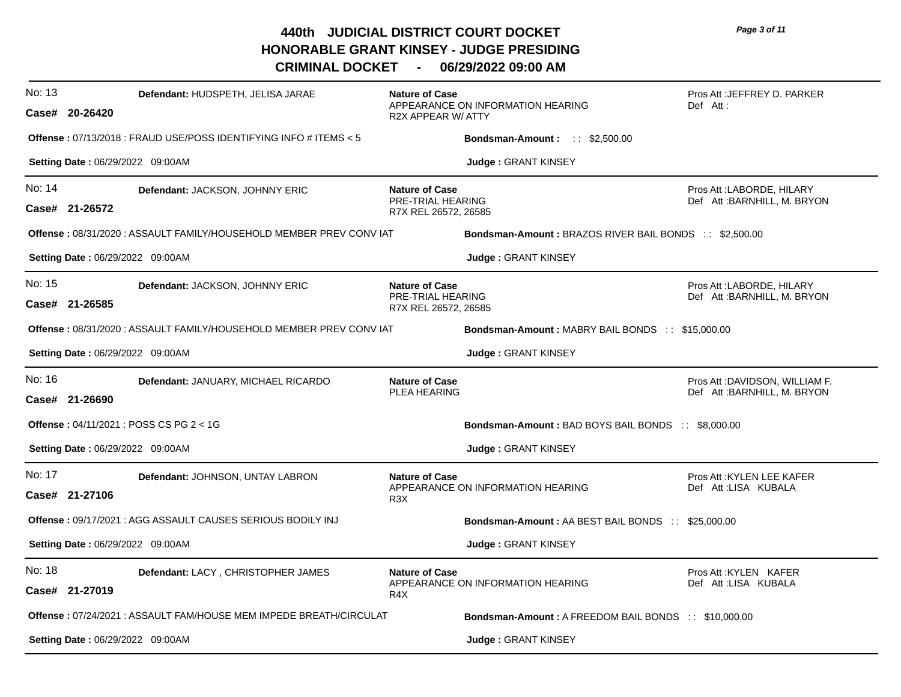*Page 3 of 11*

| No: 13 | Defendant: HUDSPETH, JELISA JARAE<br>Case# 20-26420                         | <b>Nature of Case</b><br>APPEARANCE ON INFORMATION HEARING<br><b>R2X APPEAR W/ ATTY</b> | Pros Att : JEFFREY D. PARKER<br>Def Att:                       |
|--------|-----------------------------------------------------------------------------|-----------------------------------------------------------------------------------------|----------------------------------------------------------------|
|        | <b>Offense: </b> $07/13/2018$ : FRAUD USE/POSS IDENTIFYING INFO # ITEMS < 5 | <b>Bondsman-Amount:</b> $\therefore$ \$2,500.00                                         |                                                                |
|        | Setting Date: 06/29/2022 09:00AM                                            | <b>Judge: GRANT KINSEY</b>                                                              |                                                                |
| No: 14 | Defendant: JACKSON, JOHNNY ERIC<br>Case# 21-26572                           | <b>Nature of Case</b><br>PRE-TRIAL HEARING<br>R7X REL 26572, 26585                      | Pros Att : LABORDE, HILARY<br>Def Att: BARNHILL, M. BRYON      |
|        | Offense: 08/31/2020 : ASSAULT FAMILY/HOUSEHOLD MEMBER PREV CONV IAT         | <b>Bondsman-Amount: BRAZOS RIVER BAIL BONDS :: \$2,500.00</b>                           |                                                                |
|        | <b>Setting Date: 06/29/2022 09:00AM</b>                                     | Judge: GRANT KINSEY                                                                     |                                                                |
| No: 15 | Defendant: JACKSON, JOHNNY ERIC<br>Case# 21-26585                           | <b>Nature of Case</b><br>PRE-TRIAL HEARING<br>R7X REL 26572, 26585                      | Pros Att : LABORDE, HILARY<br>Def Att: BARNHILL, M. BRYON      |
|        | Offense: 08/31/2020 : ASSAULT FAMILY/HOUSEHOLD MEMBER PREV CONV IAT         | <b>Bondsman-Amount: MABRY BAIL BONDS :: \$15,000.00</b>                                 |                                                                |
|        | Setting Date: 06/29/2022 09:00AM                                            | Judge: GRANT KINSEY                                                                     |                                                                |
| No: 16 | Defendant: JANUARY, MICHAEL RICARDO<br>Case# 21-26690                       | <b>Nature of Case</b><br><b>PLEA HEARING</b>                                            | Pros Att :DAVIDSON, WILLIAM F.<br>Def Att : BARNHILL, M. BRYON |
|        | Offense: 04/11/2021: POSS CS PG 2 < 1G                                      | <b>Bondsman-Amount: BAD BOYS BAIL BONDS :: \$8,000.00</b>                               |                                                                |
|        | Setting Date: 06/29/2022 09:00AM                                            | Judge: GRANT KINSEY                                                                     |                                                                |
| No: 17 | Defendant: JOHNSON, UNTAY LABRON<br>Case# 21-27106                          | <b>Nature of Case</b><br>APPEARANCE ON INFORMATION HEARING<br>R <sub>3</sub> X          | Pros Att : KYLEN LEE KAFER<br>Def Att:LISA KUBALA              |
|        | <b>Offense : 09/17/2021 : AGG ASSAULT CAUSES SERIOUS BODILY INJ</b>         | <b>Bondsman-Amount: AA BEST BAIL BONDS :: \$25,000.00</b>                               |                                                                |
|        | Setting Date: 06/29/2022 09:00AM                                            | Judge: GRANT KINSEY                                                                     |                                                                |
| No: 18 | Defendant: LACY, CHRISTOPHER JAMES<br>Case# 21-27019                        | <b>Nature of Case</b><br>APPEARANCE ON INFORMATION HEARING<br>R <sub>4</sub> X          | Pros Att: KYLEN KAFER<br>Def Att:LISA KUBALA                   |
|        | Offense: 07/24/2021: ASSAULT FAM/HOUSE MEM IMPEDE BREATH/CIRCULAT           | Bondsman-Amount: A FREEDOM BAIL BONDS :: \$10,000.00                                    |                                                                |
|        | <b>Setting Date: 06/29/2022 09:00AM</b>                                     | <b>Judge: GRANT KINSEY</b>                                                              |                                                                |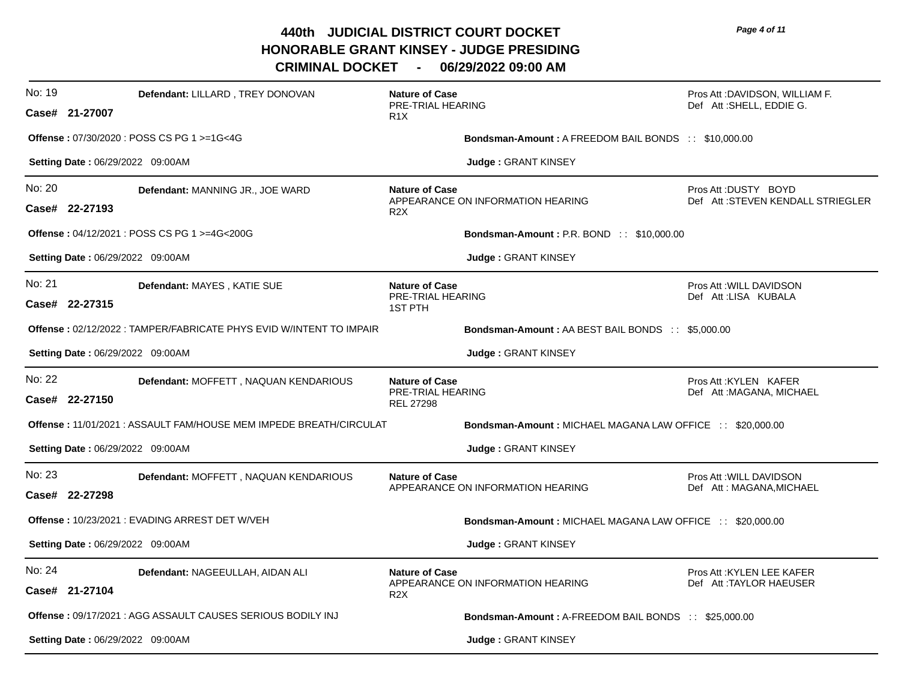| No: 19 | Defendant: LILLARD, TREY DONOVAN<br>Case# 21-27007                        | <b>Nature of Case</b><br>PRE-TRIAL HEARING<br>R <sub>1</sub> X |                                                                  | Pros Att :DAVIDSON, WILLIAM F.<br>Def Att:SHELL, EDDIE G. |
|--------|---------------------------------------------------------------------------|----------------------------------------------------------------|------------------------------------------------------------------|-----------------------------------------------------------|
|        | Offense: 07/30/2020 : POSS CS PG 1 >=1G<4G                                |                                                                | <b>Bondsman-Amount: A FREEDOM BAIL BONDS :: \$10,000.00</b>      |                                                           |
|        | Setting Date: 06/29/2022 09:00AM                                          |                                                                | Judge: GRANT KINSEY                                              |                                                           |
| No: 20 | Defendant: MANNING JR., JOE WARD<br>Case# 22-27193                        | <b>Nature of Case</b><br>R <sub>2</sub> X                      | APPEARANCE ON INFORMATION HEARING                                | Pros Att: DUSTY BOYD<br>Def Att:STEVEN KENDALL STRIEGLER  |
|        | Offense: 04/12/2021 : POSS CS PG 1 >=4G<200G                              |                                                                | <b>Bondsman-Amount: P.R. BOND:: \$10,000.00</b>                  |                                                           |
|        | <b>Setting Date: 06/29/2022 09:00AM</b>                                   |                                                                | Judge: GRANT KINSEY                                              |                                                           |
| No: 21 | Defendant: MAYES, KATIE SUE<br>Case# 22-27315                             | <b>Nature of Case</b><br>PRE-TRIAL HEARING<br><b>1ST PTH</b>   |                                                                  | Pros Att : WILL DAVIDSON<br>Def Att:LISA KUBALA           |
|        | <b>Offense: 02/12/2022: TAMPER/FABRICATE PHYS EVID W/INTENT TO IMPAIR</b> |                                                                | <b>Bondsman-Amount: AA BEST BAIL BONDS :: \$5,000.00</b>         |                                                           |
|        | Setting Date: 06/29/2022 09:00AM                                          |                                                                | Judge: GRANT KINSEY                                              |                                                           |
| No: 22 | Defendant: MOFFETT, NAQUAN KENDARIOUS<br>Case# 22-27150                   | <b>Nature of Case</b><br>PRE-TRIAL HEARING<br><b>REL 27298</b> |                                                                  | Pros Att : KYLEN KAFER<br>Def Att: MAGANA, MICHAEL        |
|        | <b>Offense: 11/01/2021: ASSAULT FAM/HOUSE MEM IMPEDE BREATH/CIRCULAT</b>  |                                                                | <b>Bondsman-Amount: MICHAEL MAGANA LAW OFFICE :: \$20,000.00</b> |                                                           |
|        | Setting Date: 06/29/2022 09:00AM                                          |                                                                | <b>Judge: GRANT KINSEY</b>                                       |                                                           |
| No: 23 | Defendant: MOFFETT, NAQUAN KENDARIOUS<br>Case# 22-27298                   | <b>Nature of Case</b>                                          | APPEARANCE ON INFORMATION HEARING                                | Pros Att : WILL DAVIDSON<br>Def Att: MAGANA, MICHAEL      |
|        | Offense: 10/23/2021 : EVADING ARREST DET W/VEH                            |                                                                | Bondsman-Amount: MICHAEL MAGANA LAW OFFICE :: \$20,000.00        |                                                           |
|        | Setting Date: 06/29/2022 09:00AM                                          |                                                                | Judge: GRANT KINSEY                                              |                                                           |
| No: 24 | Defendant: NAGEEULLAH, AIDAN ALI<br>Case# 21-27104                        | <b>Nature of Case</b><br>R <sub>2</sub> X                      | APPEARANCE ON INFORMATION HEARING                                | Pros Att : KYLEN LEE KAFER<br>Def Att:TAYLOR HAEUSER      |
|        | <b>Offense: 09/17/2021: AGG ASSAULT CAUSES SERIOUS BODILY INJ</b>         |                                                                | <b>Bondsman-Amount: A-FREEDOM BAIL BONDS :: \$25,000.00</b>      |                                                           |
|        |                                                                           |                                                                |                                                                  |                                                           |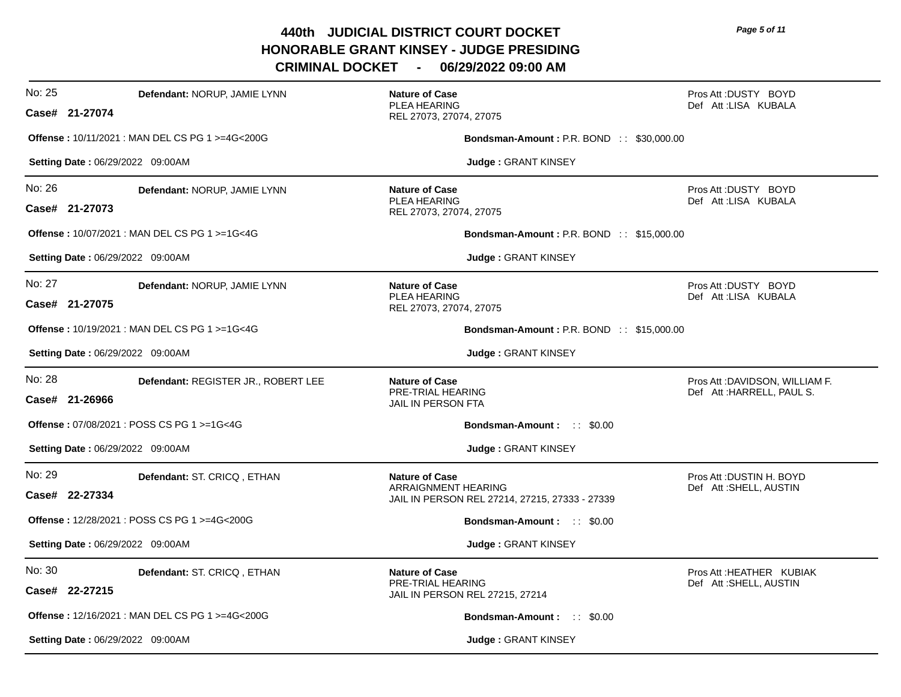**CRIMINAL DOCKET - 06/29/2022 09:00 AM**

| No: 25<br>Defendant: NORUP, JAMIE LYNN<br>Case# 21-27074        | <b>Nature of Case</b><br>PLEA HEARING<br>REL 27073, 27074, 27075                               | Pros Att: DUSTY BOYD<br>Def Att:LISA KUBALA                  |
|-----------------------------------------------------------------|------------------------------------------------------------------------------------------------|--------------------------------------------------------------|
| <b>Offense: 10/11/2021: MAN DEL CS PG 1 &gt;=4G&lt;200G</b>     | <b>Bondsman-Amount: P.R. BOND:: \$30,000.00</b>                                                |                                                              |
| Setting Date: 06/29/2022 09:00AM                                | Judge: GRANT KINSEY                                                                            |                                                              |
| No: 26<br>Defendant: NORUP, JAMIE LYNN<br>Case# 21-27073        | <b>Nature of Case</b><br><b>PLEA HEARING</b><br>REL 27073, 27074, 27075                        | Pros Att: DUSTY BOYD<br>Def Att:LISA KUBALA                  |
| Offense: 10/07/2021 : MAN DEL CS PG 1 >=1G<4G                   | <b>Bondsman-Amount: P.R. BOND:: \$15,000.00</b>                                                |                                                              |
| Setting Date: 06/29/2022 09:00AM                                | <b>Judge: GRANT KINSEY</b>                                                                     |                                                              |
| No: 27<br>Defendant: NORUP, JAMIE LYNN<br>Case# 21-27075        | <b>Nature of Case</b><br><b>PLEA HEARING</b><br>REL 27073, 27074, 27075                        | Pros Att: DUSTY BOYD<br>Def Att:LISA KUBALA                  |
| Offense: 10/19/2021 : MAN DEL CS PG 1 >=1G<4G                   | <b>Bondsman-Amount: P.R. BOND:: \$15,000.00</b>                                                |                                                              |
| Setting Date: 06/29/2022 09:00AM                                | Judge: GRANT KINSEY                                                                            |                                                              |
| No: 28<br>Defendant: REGISTER JR., ROBERT LEE<br>Case# 21-26966 | <b>Nature of Case</b><br>PRE-TRIAL HEARING<br>JAIL IN PERSON FTA                               | Pros Att : DAVIDSON, WILLIAM F.<br>Def Att: HARRELL, PAUL S. |
| Offense: 07/08/2021 : POSS CS PG 1 >=1G<4G                      | <b>Bondsman-Amount: :: \$0.00</b>                                                              |                                                              |
| Setting Date: 06/29/2022 09:00AM                                | Judge: GRANT KINSEY                                                                            |                                                              |
| No: 29<br>Defendant: ST. CRICQ, ETHAN<br>Case# 22-27334         | <b>Nature of Case</b><br>ARRAIGNMENT HEARING<br>JAIL IN PERSON REL 27214, 27215, 27333 - 27339 | Pros Att : DUSTIN H. BOYD<br>Def Att: SHELL, AUSTIN          |
| Offense: 12/28/2021 : POSS CS PG 1 >=4G<200G                    | <b>Bondsman-Amount:</b> :: \$0.00                                                              |                                                              |
| Setting Date: 06/29/2022 09:00AM                                | Judge: GRANT KINSEY                                                                            |                                                              |
| No: 30<br>Defendant: ST. CRICQ, ETHAN<br>Case# 22-27215         | <b>Nature of Case</b><br>PRE-TRIAL HEARING<br>JAIL IN PERSON REL 27215, 27214                  | Pros Att: HEATHER KUBIAK<br>Def Att: SHELL, AUSTIN           |
| <b>Offense: 12/16/2021: MAN DEL CS PG 1 &gt;=4G&lt;200G</b>     | <b>Bondsman-Amount:</b> :: \$0.00                                                              |                                                              |
| <b>Setting Date: 06/29/2022 09:00AM</b>                         | <b>Judge: GRANT KINSEY</b>                                                                     |                                                              |

*Page 5 of 11*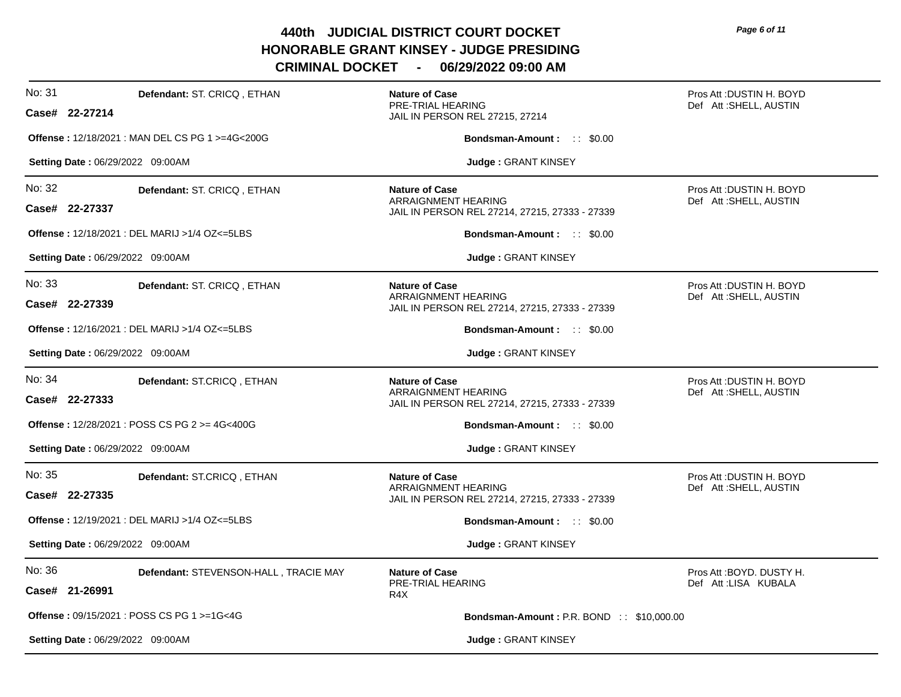| No: 31<br>Defendant: ST. CRICQ, ETHAN<br>Case# 22-27214           | <b>Nature of Case</b><br>PRE-TRIAL HEARING<br>JAIL IN PERSON REL 27215, 27214                         | Pros Att : DUSTIN H. BOYD<br>Def Att:SHELL, AUSTIN |
|-------------------------------------------------------------------|-------------------------------------------------------------------------------------------------------|----------------------------------------------------|
| Offense: 12/18/2021 : MAN DEL CS PG 1 >=4G<200G                   | Bondsman-Amount: :: \$0.00                                                                            |                                                    |
| Setting Date: 06/29/2022 09:00AM                                  | Judge: GRANT KINSEY                                                                                   |                                                    |
| No: 32<br>Defendant: ST. CRICQ, ETHAN<br>Case# 22-27337           | <b>Nature of Case</b><br>ARRAIGNMENT HEARING<br>JAIL IN PERSON REL 27214, 27215, 27333 - 27339        | Pros Att: DUSTIN H. BOYD<br>Def Att:SHELL, AUSTIN  |
| Offense: 12/18/2021 : DEL MARIJ > 1/4 OZ<=5LBS                    | <b>Bondsman-Amount: :: \$0.00</b>                                                                     |                                                    |
| <b>Setting Date: 06/29/2022 09:00AM</b>                           | <b>Judge: GRANT KINSEY</b>                                                                            |                                                    |
| No: 33<br>Defendant: ST. CRICQ, ETHAN<br>Case# 22-27339           | <b>Nature of Case</b><br>ARRAIGNMENT HEARING<br>JAIL IN PERSON REL 27214, 27215, 27333 - 27339        | Pros Att: DUSTIN H. BOYD<br>Def Att: SHELL, AUSTIN |
| <b>Offense: 12/16/2021: DEL MARIJ &gt;1/4 OZ&lt;=5LBS</b>         | <b>Bondsman-Amount: :: \$0.00</b>                                                                     |                                                    |
| Setting Date: 06/29/2022 09:00AM                                  | Judge: GRANT KINSEY                                                                                   |                                                    |
| No: 34<br>Defendant: ST.CRICQ, ETHAN<br>Case# 22-27333            | <b>Nature of Case</b><br><b>ARRAIGNMENT HEARING</b><br>JAIL IN PERSON REL 27214, 27215, 27333 - 27339 | Pros Att :DUSTIN H. BOYD<br>Def Att:SHELL, AUSTIN  |
| <b>Offense:</b> $12/28/2021$ : POSS CS PG $2 > = 4G < 400G$       | <b>Bondsman-Amount:</b> :: \$0.00                                                                     |                                                    |
| Setting Date: 06/29/2022 09:00AM                                  | Judge: GRANT KINSEY                                                                                   |                                                    |
| No: 35<br>Defendant: ST.CRICQ, ETHAN<br>Case# 22-27335            | <b>Nature of Case</b><br>ARRAIGNMENT HEARING<br>JAIL IN PERSON REL 27214, 27215, 27333 - 27339        | Pros Att : DUSTIN H. BOYD<br>Def Att:SHELL, AUSTIN |
| <b>Offense: 12/19/2021: DEL MARIJ &gt;1/4 OZ&lt;=5LBS</b>         | <b>Bondsman-Amount:</b> :: \$0.00                                                                     |                                                    |
| Setting Date: 06/29/2022 09:00AM                                  | Judge: GRANT KINSEY                                                                                   |                                                    |
| No: 36<br>Defendant: STEVENSON-HALL, TRACIE MAY<br>Case# 21-26991 | <b>Nature of Case</b><br>PRE-TRIAL HEARING<br>R <sub>4</sub> X                                        | Pros Att: BOYD, DUSTY H.<br>Def Att:LISA KUBALA    |
| <b>Offense: 09/15/2021: POSS CS PG 1 &gt;=1G&lt;4G</b>            | <b>Bondsman-Amount: P.R. BOND:: \$10,000.00</b>                                                       |                                                    |
| <b>Setting Date: 06/29/2022 09:00AM</b>                           | Judge: GRANT KINSEY                                                                                   |                                                    |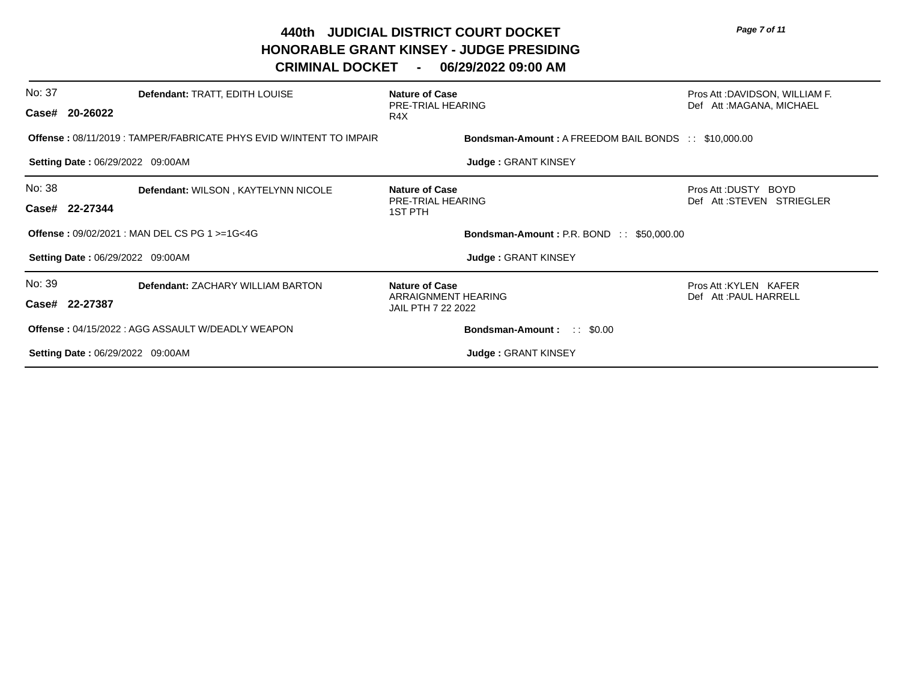| No: 37                                                    | Defendant: TRATT, EDITH LOUISE<br>Case# 20-26022                          | <b>Nature of Case</b><br>PRE-TRIAL HEARING<br>R4X                  | Pros Att :DAVIDSON, WILLIAM F.<br>Def Att: MAGANA, MICHAEL |
|-----------------------------------------------------------|---------------------------------------------------------------------------|--------------------------------------------------------------------|------------------------------------------------------------|
|                                                           | <b>Offense: 08/11/2019: TAMPER/FABRICATE PHYS EVID W/INTENT TO IMPAIR</b> | <b>Bondsman-Amount: A FREEDOM BAIL BONDS :: \$10,000.00</b>        |                                                            |
|                                                           | <b>Setting Date: 06/29/2022 09:00AM</b>                                   | <b>Judge: GRANT KINSEY</b>                                         |                                                            |
| No: 38                                                    | Defendant: WILSON, KAYTELYNN NICOLE<br>Case# 22-27344                     | <b>Nature of Case</b><br>PRE-TRIAL HEARING<br>1ST PTH              | Pros Att: DUSTY BOYD<br>Def Att:STEVEN STRIEGLER           |
| <b>Offense: 09/02/2021: MAN DEL CS PG 1 &gt;=1G&lt;4G</b> |                                                                           | Bondsman-Amount: P.R. BOND :: \$50,000.00                          |                                                            |
|                                                           | <b>Setting Date: 06/29/2022 09:00AM</b>                                   | Judge: GRANT KINSEY                                                |                                                            |
| No: 39                                                    | <b>Defendant: ZACHARY WILLIAM BARTON</b><br>Case# 22-27387                | <b>Nature of Case</b><br>ARRAIGNMENT HEARING<br>JAIL PTH 7 22 2022 | Pros Att: KYLEN KAFER<br>Def Att: PAUL HARRELL             |
|                                                           | <b>Offense: 04/15/2022: AGG ASSAULT W/DEADLY WEAPON</b>                   | <b>Bondsman-Amount:</b> :: \$0.00                                  |                                                            |
|                                                           | <b>Setting Date: 06/29/2022 09:00AM</b>                                   | <b>Judge: GRANT KINSEY</b>                                         |                                                            |
|                                                           |                                                                           |                                                                    |                                                            |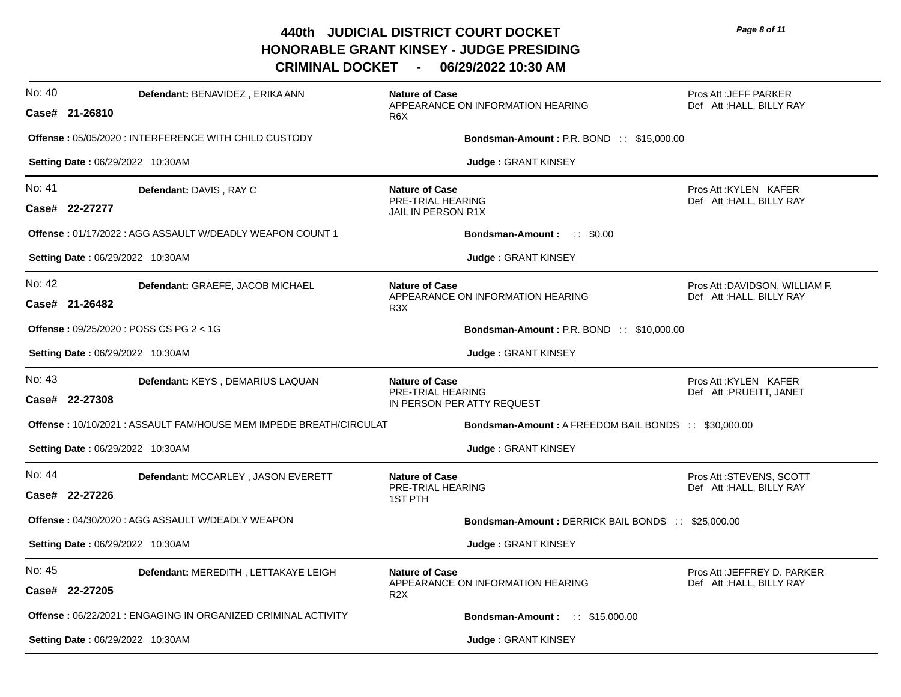| No: 40 | <b>Defendant: BENAVIDEZ, ERIKA ANN</b><br>Case# 21-26810              | <b>Nature of Case</b><br>APPEARANCE ON INFORMATION HEARING<br>R <sub>6</sub> X | Pros Att : JEFF PARKER<br>Def Att: HALL, BILLY RAY         |
|--------|-----------------------------------------------------------------------|--------------------------------------------------------------------------------|------------------------------------------------------------|
|        | <b>Offense: 05/05/2020: INTERFERENCE WITH CHILD CUSTODY</b>           | <b>Bondsman-Amount: P.R. BOND:: \$15,000.00</b>                                |                                                            |
|        | Setting Date: 06/29/2022 10:30AM                                      | Judge: GRANT KINSEY                                                            |                                                            |
| No: 41 | Defendant: DAVIS, RAY C<br>Case# 22-27277                             | <b>Nature of Case</b><br><b>PRE-TRIAL HEARING</b><br>JAIL IN PERSON R1X        | Pros Att: KYLEN KAFER<br>Def Att: HALL, BILLY RAY          |
|        | <b>Offense: 01/17/2022: AGG ASSAULT W/DEADLY WEAPON COUNT 1</b>       | <b>Bondsman-Amount:</b> :: \$0.00                                              |                                                            |
|        | Setting Date: 06/29/2022 10:30AM                                      | Judge: GRANT KINSEY                                                            |                                                            |
| No: 42 | Defendant: GRAEFE, JACOB MICHAEL<br>Case# 21-26482                    | <b>Nature of Case</b><br>APPEARANCE ON INFORMATION HEARING<br>R <sub>3</sub> X | Pros Att :DAVIDSON, WILLIAM F.<br>Def Att: HALL, BILLY RAY |
|        | Offense: 09/25/2020 : POSS CS PG 2 < 1G                               | <b>Bondsman-Amount: P.R. BOND:: \$10,000.00</b>                                |                                                            |
|        | Setting Date: 06/29/2022 10:30AM                                      | Judge: GRANT KINSEY                                                            |                                                            |
| No: 43 | Defendant: KEYS, DEMARIUS LAQUAN<br>Case# 22-27308                    | <b>Nature of Case</b><br>PRE-TRIAL HEARING<br>IN PERSON PER ATTY REQUEST       | Pros Att: KYLEN KAFER<br>Def Att : PRUEITT, JANET          |
|        | Offense: 10/10/2021: ASSAULT FAM/HOUSE MEM IMPEDE BREATH/CIRCULAT     | <b>Bondsman-Amount: A FREEDOM BAIL BONDS :: \$30,000.00</b>                    |                                                            |
|        | Setting Date: 06/29/2022 10:30AM                                      | Judge: GRANT KINSEY                                                            |                                                            |
| No: 44 | Defendant: MCCARLEY, JASON EVERETT<br>Case# 22-27226                  | <b>Nature of Case</b><br>PRE-TRIAL HEARING<br><b>1ST PTH</b>                   | Pros Att: STEVENS, SCOTT<br>Def Att: HALL, BILLY RAY       |
|        | <b>Offense: 04/30/2020: AGG ASSAULT W/DEADLY WEAPON</b>               | Bondsman-Amount: DERRICK BAIL BONDS :: \$25,000.00                             |                                                            |
|        | <b>Setting Date: 06/29/2022 10:30AM</b>                               | Judge: GRANT KINSEY                                                            |                                                            |
| No: 45 | Defendant: MEREDITH, LETTAKAYE LEIGH<br>Case# 22-27205                | <b>Nature of Case</b><br>APPEARANCE ON INFORMATION HEARING<br>R <sub>2</sub> X | Pros Att : JEFFREY D. PARKER<br>Def Att: HALL, BILLY RAY   |
|        | <b>Offense</b> : 06/22/2021 : ENGAGING IN ORGANIZED CRIMINAL ACTIVITY | <b>Bondsman-Amount: :: \$15,000.00</b>                                         |                                                            |
|        | <b>Setting Date: 06/29/2022 10:30AM</b>                               | <b>Judge: GRANT KINSEY</b>                                                     |                                                            |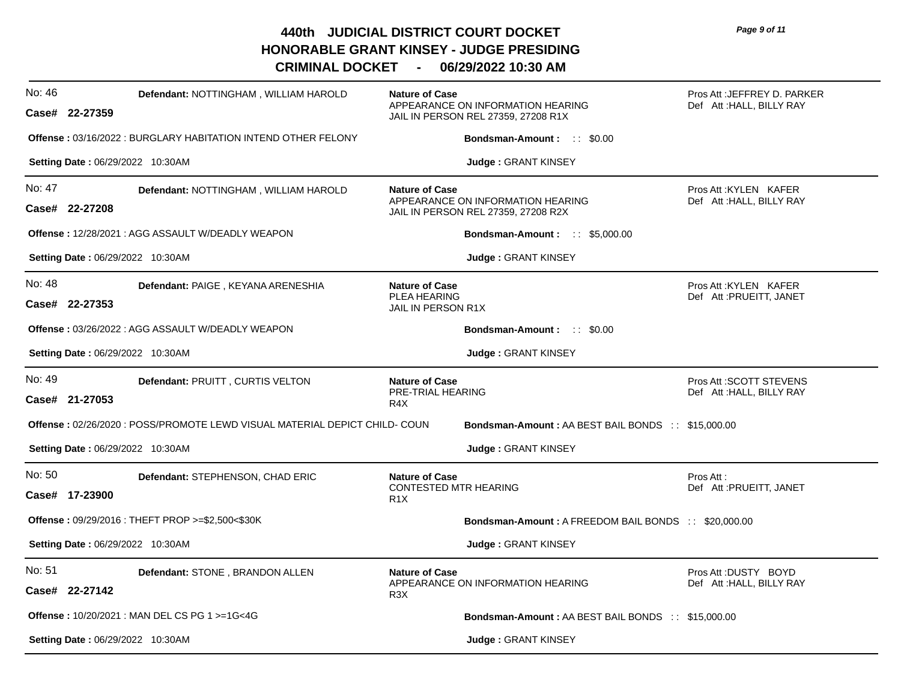**CRIMINAL DOCKET - 06/29/2022 10:30 AM**

| No: 46 | Defendant: NOTTINGHAM, WILLIAM HAROLD<br>Case# 22-27359                    | <b>Nature of Case</b>                                                    | APPEARANCE ON INFORMATION HEARING<br>JAIL IN PERSON REL 27359, 27208 R1X | Pros Att : JEFFREY D. PARKER<br>Def Att: HALL, BILLY RAY |
|--------|----------------------------------------------------------------------------|--------------------------------------------------------------------------|--------------------------------------------------------------------------|----------------------------------------------------------|
|        | <b>Offense: 03/16/2022: BURGLARY HABITATION INTEND OTHER FELONY</b>        |                                                                          | <b>Bondsman-Amount:</b> :: \$0.00                                        |                                                          |
|        | Setting Date: 06/29/2022 10:30AM                                           |                                                                          | Judge: GRANT KINSEY                                                      |                                                          |
| No: 47 | Defendant: NOTTINGHAM, WILLIAM HAROLD<br>Case# 22-27208                    | <b>Nature of Case</b>                                                    | APPEARANCE ON INFORMATION HEARING<br>JAIL IN PERSON REL 27359, 27208 R2X | Pros Att: KYLEN KAFER<br>Def Att : HALL, BILLY RAY       |
|        | Offense: 12/28/2021 : AGG ASSAULT W/DEADLY WEAPON                          |                                                                          | <b>Bondsman-Amount: :: \$5,000.00</b>                                    |                                                          |
|        | <b>Setting Date: 06/29/2022 10:30AM</b>                                    |                                                                          | <b>Judge: GRANT KINSEY</b>                                               |                                                          |
| No: 48 | Defendant: PAIGE, KEYANA ARENESHIA<br>Case# 22-27353                       | <b>Nature of Case</b><br><b>PLEA HEARING</b><br>JAIL IN PERSON R1X       |                                                                          | Pros Att: KYLEN KAFER<br>Def Att : PRUEITT, JANET        |
|        | <b>Offense: 03/26/2022: AGG ASSAULT W/DEADLY WEAPON</b>                    |                                                                          | <b>Bondsman-Amount:</b> :: \$0.00                                        |                                                          |
|        | <b>Setting Date: 06/29/2022 10:30AM</b>                                    |                                                                          | Judge: GRANT KINSEY                                                      |                                                          |
| No: 49 | Defendant: PRUITT, CURTIS VELTON<br>Case# 21-27053                         | <b>Nature of Case</b><br>PRE-TRIAL HEARING<br>R <sub>4</sub> X           |                                                                          | Pros Att: SCOTT STEVENS<br>Def Att : HALL, BILLY RAY     |
|        | Offense: 02/26/2020 : POSS/PROMOTE LEWD VISUAL MATERIAL DEPICT CHILD- COUN |                                                                          | <b>Bondsman-Amount: AA BEST BAIL BONDS :: \$15,000.00</b>                |                                                          |
|        | Setting Date: 06/29/2022 10:30AM                                           |                                                                          | Judge: GRANT KINSEY                                                      |                                                          |
| No: 50 |                                                                            |                                                                          |                                                                          |                                                          |
|        | Defendant: STEPHENSON, CHAD ERIC<br>Case# 17-23900                         | <b>Nature of Case</b><br><b>CONTESTED MTR HEARING</b><br>R <sub>1X</sub> |                                                                          | Pros Att:<br>Def Att : PRUEITT, JANET                    |
|        | Offense: 09/29/2016 : THEFT PROP >=\$2,500<\$30K                           |                                                                          | <b>Bondsman-Amount: A FREEDOM BAIL BONDS :: \$20,000.00</b>              |                                                          |
|        | Setting Date: 06/29/2022 10:30AM                                           |                                                                          | Judge: GRANT KINSEY                                                      |                                                          |
| No: 51 | Defendant: STONE, BRANDON ALLEN<br>Case# 22-27142                          | <b>Nature of Case</b><br>R <sub>3</sub> X                                | APPEARANCE ON INFORMATION HEARING                                        | Pros Att: DUSTY BOYD<br>Def Att : HALL, BILLY RAY        |
|        | Offense: 10/20/2021 : MAN DEL CS PG 1 >=1G<4G                              |                                                                          | <b>Bondsman-Amount: AA BEST BAIL BONDS :: \$15,000.00</b>                |                                                          |

*Page 9 of 11*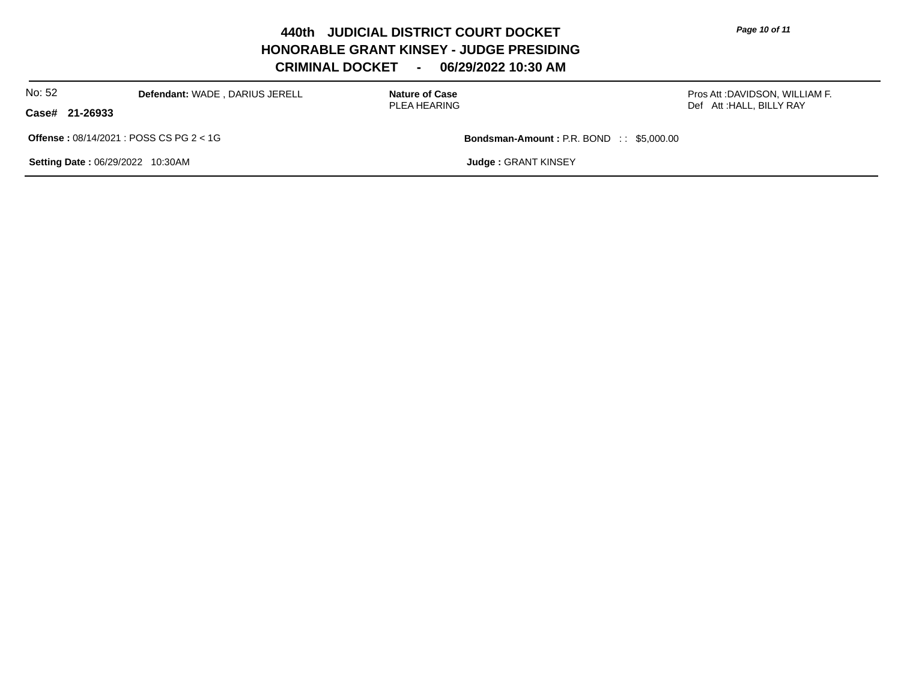*Page 10 of 11*

**440th JUDICIAL DISTRICT COURT DOCKET HONORABLE GRANT KINSEY - JUDGE PRESIDING CRIMINAL DOCKET - 06/29/2022 10:30 AM**

| No: 52                                                        | Defendant: WADE, DARIUS JERELL | <b>Nature of Case</b><br>PLEA HEARING           |                             | Pros Att :DAVIDSON, WILLIAM F. |
|---------------------------------------------------------------|--------------------------------|-------------------------------------------------|-----------------------------|--------------------------------|
| Case# 21-26933                                                |                                |                                                 |                             | Def Att: HALL, BILLY RAY       |
| <b>Offense: <math>08/14/2021</math>: POSS CS PG 2 &lt; 1G</b> |                                | <b>Bondsman-Amount: P.R. BOND :: \$5,000.00</b> |                             |                                |
| Setting Date: 06/29/2022 10:30AM                              |                                |                                                 | <b>Judge : GRANT KINSEY</b> |                                |
|                                                               |                                |                                                 |                             |                                |